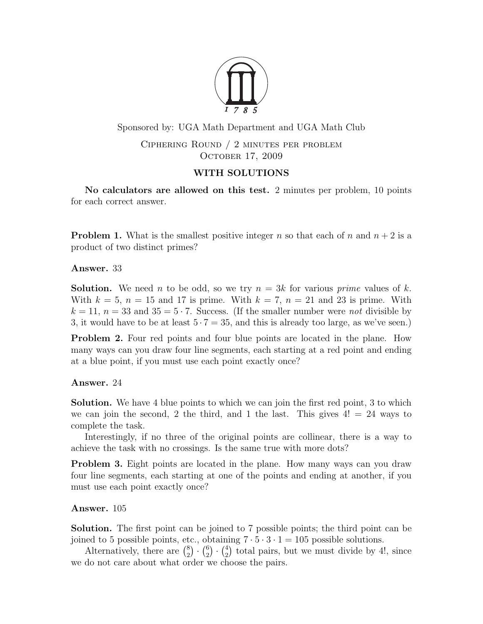

Sponsored by: UGA Math Department and UGA Math Club

Ciphering Round / 2 minutes per problem OCTOBER 17, 2009

## WITH SOLUTIONS

No calculators are allowed on this test. 2 minutes per problem, 10 points for each correct answer.

**Problem 1.** What is the smallest positive integer n so that each of n and  $n + 2$  is a product of two distinct primes?

Answer. 33

**Solution.** We need n to be odd, so we try  $n = 3k$  for various prime values of k. With  $k = 5$ ,  $n = 15$  and 17 is prime. With  $k = 7$ ,  $n = 21$  and 23 is prime. With  $k = 11$ ,  $n = 33$  and  $35 = 5 \cdot 7$ . Success. (If the smaller number were *not* divisible by 3, it would have to be at least  $5 \cdot 7 = 35$ , and this is already too large, as we've seen.)

**Problem 2.** Four red points and four blue points are located in the plane. How many ways can you draw four line segments, each starting at a red point and ending at a blue point, if you must use each point exactly once?

Answer. 24

Solution. We have 4 blue points to which we can join the first red point, 3 to which we can join the second, 2 the third, and 1 the last. This gives  $4! = 24$  ways to complete the task.

Interestingly, if no three of the original points are collinear, there is a way to achieve the task with no crossings. Is the same true with more dots?

**Problem 3.** Eight points are located in the plane. How many ways can you draw four line segments, each starting at one of the points and ending at another, if you must use each point exactly once?

Answer. 105

Solution. The first point can be joined to 7 possible points; the third point can be joined to 5 possible points, etc., obtaining  $7 \cdot 5 \cdot 3 \cdot 1 = 105$  possible solutions.

Alternatively, there are  $\binom{8}{2}$  $\binom{8}{2}$   $\cdot$   $\binom{6}{2}$  $\binom{6}{2} \cdot \binom{4}{2}$  $_{2}^{4}$ ) total pairs, but we must divide by 4!, since we do not care about what order we choose the pairs.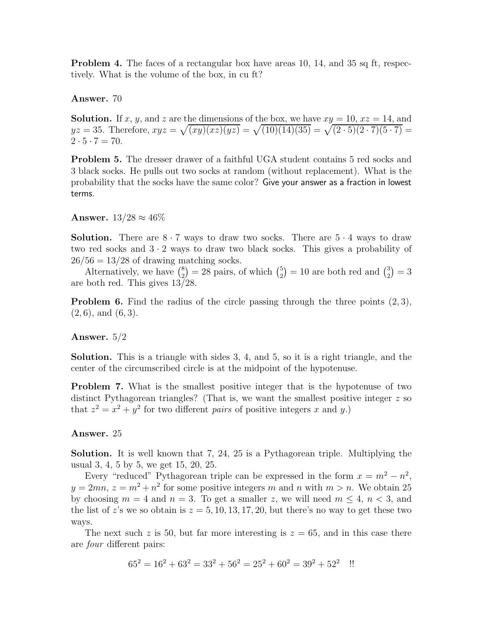**Problem 4.** The faces of a rectangular box have areas 10, 14, and 35 sq ft, respectively. What is the volume of the box, in cu ft?

Answer. 70

**Solution.** If x, y, and z are the dimensions of the box, we have  $xy = 10$ ,  $xz = 14$ , and  $yz = 35$ . Therefore,  $xyz = \sqrt{(xy)(xz)(yz)} = \sqrt{(10)(14)(35)} = \sqrt{(2 \cdot 5)(2 \cdot 7)(5 \cdot 7)} =$  $2 \cdot 5 \cdot 7 = 70.$ 

Problem 5. The dresser drawer of a faithful UGA student contains 5 red socks and 3 black socks. He pulls out two socks at random (without replacement). What is the probability that the socks have the same color? Give your answer as a fraction in lowest terms.

Answer.  $13/28 \approx 46\%$ 

**Solution.** There are  $8 \cdot 7$  ways to draw two socks. There are  $5 \cdot 4$  ways to draw two red socks and  $3 \cdot 2$  ways to draw two black socks. This gives a probability of  $26/56 = 13/28$  of drawing matching socks.

Alternatively, we have  $\begin{pmatrix} 8 \\ 2 \end{pmatrix}$  $\binom{8}{2} = 28$  pairs, of which  $\binom{5}{2}$  $\binom{5}{2}$  = 10 are both red and  $\binom{3}{2}$  $\binom{3}{2} = 3$ are both red. This gives 13/28.

**Problem 6.** Find the radius of the circle passing through the three points  $(2,3)$ ,  $(2, 6)$ , and  $(6, 3)$ .

## Answer. 5/2

Solution. This is a triangle with sides 3, 4, and 5, so it is a right triangle, and the center of the circumscribed circle is at the midpoint of the hypotenuse.

**Problem 7.** What is the smallest positive integer that is the hypotenuse of two distinct Pythagorean triangles? (That is, we want the smallest positive integer z so that  $z^2 = x^2 + y^2$  for two different *pairs* of positive integers x and y.)

## Answer. 25

Solution. It is well known that 7, 24, 25 is a Pythagorean triple. Multiplying the usual 3, 4, 5 by 5, we get 15, 20, 25.

Every "reduced" Pythagorean triple can be expressed in the form  $x = m^2 - n^2$ ,  $y = 2mn$ ,  $z = m^2 + n^2$  for some positive integers m and n with  $m > n$ . We obtain 25 by choosing  $m = 4$  and  $n = 3$ . To get a smaller z, we will need  $m \le 4$ ,  $n \le 3$ , and the list of z's we so obtain is  $z = 5, 10, 13, 17, 20$ , but there's no way to get these two ways.

The next such z is 50, but far more interesting is  $z = 65$ , and in this case there are four different pairs:

$$
65^2 = 16^2 + 63^2 = 33^2 + 56^2 = 25^2 + 60^2 = 39^2 + 52^2
$$
!!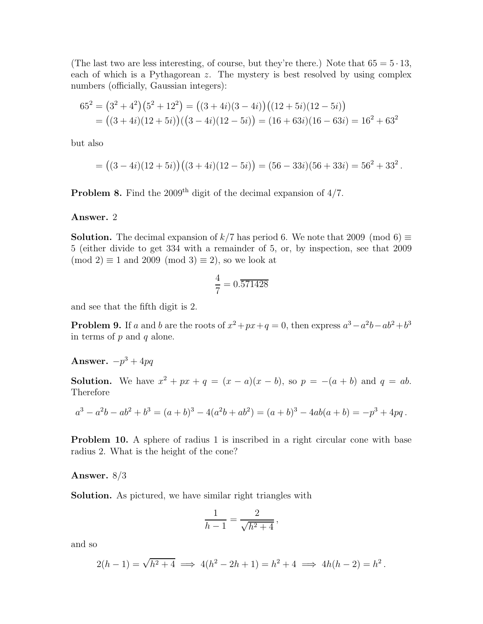(The last two are less interesting, of course, but they're there.) Note that  $65 = 5 \cdot 13$ , each of which is a Pythagorean z. The mystery is best resolved by using complex numbers (officially, Gaussian integers):

$$
652 = (32 + 42)(52 + 122) = ((3 + 4i)(3 - 4i))((12 + 5i)(12 - 5i))
$$
  
= ((3 + 4i)(12 + 5i))((3 - 4i)(12 - 5i)) = (16 + 63i)(16 - 63i) = 16<sup>2</sup> + 63<sup>2</sup>

but also

$$
= ((3-4i)(12+5i))((3+4i)(12-5i)) = (56-33i)(56+33i) = 562 + 332.
$$

**Problem 8.** Find the 2009<sup>th</sup> digit of the decimal expansion of  $4/7$ .

Answer. 2

**Solution.** The decimal expansion of  $k/7$  has period 6. We note that 2009 (mod 6)  $\equiv$ 5 (either divide to get 334 with a remainder of 5, or, by inspection, see that 2009  $(mod 2) \equiv 1$  and 2009  $(mod 3) \equiv 2$ , so we look at

$$
\frac{4}{7} = 0.\overline{571428}
$$

and see that the fifth digit is 2.

**Problem 9.** If a and b are the roots of  $x^2 + px + q = 0$ , then express  $a^3 - a^2b - ab^2 + b^3$ in terms of  $p$  and  $q$  alone.

## Answer.  $-p^3 + 4pq$

**Solution.** We have  $x^2 + px + q = (x - a)(x - b)$ , so  $p = -(a + b)$  and  $q = ab$ . Therefore

$$
a3 - a2b - ab2 + b3 = (a + b)3 - 4(a2b + ab2) = (a + b)3 - 4ab(a + b) = -p3 + 4pq.
$$

**Problem 10.** A sphere of radius 1 is inscribed in a right circular cone with base radius 2. What is the height of the cone?

Answer. 8/3

Solution. As pictured, we have similar right triangles with

$$
\frac{1}{h-1} = \frac{2}{\sqrt{h^2 + 4}},
$$

and so

$$
2(h-1) = \sqrt{h^2 + 4} \implies 4(h^2 - 2h + 1) = h^2 + 4 \implies 4h(h-2) = h^2.
$$